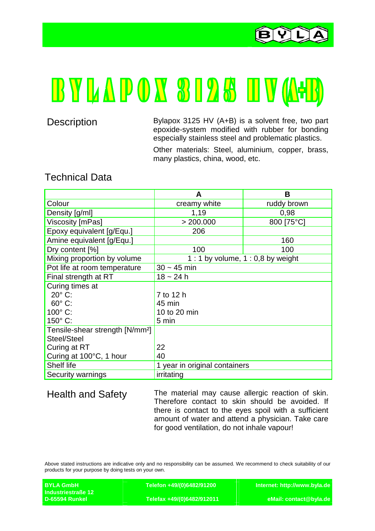

## **BYLAPOX 3125 HV(A+B)**

Description Bylapox 3125 HV (A+B) is a solvent free, two part epoxide-system modified with rubber for bonding especially stainless steel and problematic plastics.

> Other materials: Steel, aluminium, copper, brass, many plastics, china, wood, etc.

## Technical Data

|                                             | A                                  | В           |
|---------------------------------------------|------------------------------------|-------------|
| Colour                                      | creamy white                       | ruddy brown |
| Density [g/ml]                              | 1,19                               | 0,98        |
| Viscosity [mPas]                            | > 200.000                          | 800 [75°C]  |
| Epoxy equivalent [g/Equ.]                   | 206                                |             |
| Amine equivalent [g/Equ.]                   |                                    | 160         |
| Dry content [%]                             | 100                                | 100         |
| Mixing proportion by volume                 | 1 : 1 by volume, $1:0,8$ by weight |             |
| Pot life at room temperature                | $30 - 45$ min                      |             |
| Final strength at RT                        | $18 - 24h$                         |             |
| Curing times at                             |                                    |             |
| $20^\circ$ C:                               | 7 to 12 h                          |             |
| $60^\circ$ C:                               | 45 min                             |             |
| $100^\circ$ C:                              | 10 to 20 min                       |             |
| $150^{\circ}$ C:                            | 5 min                              |             |
| Tensile-shear strength [N/mm <sup>2</sup> ] |                                    |             |
| Steel/Steel                                 |                                    |             |
| Curing at RT                                | 22                                 |             |
| Curing at 100°C, 1 hour                     | 40                                 |             |
| Shelf life                                  | 1 year in original containers      |             |
| Security warnings                           | irritating                         |             |

Health and Safety The material may cause allergic reaction of skin. Therefore contact to skin should be avoided. If there is contact to the eyes spoil with a sufficient amount of water and attend a physician. Take care for good ventilation, do not inhale vapour!

Above stated instructions are indicative only and no responsibility can be assumed. We recommend to check suitability of our products for your purpose by doing tests on your own.

| <b>BYLA GmbH</b>          | Telefon +49/(0)6482/91200 \ | Internet: http://www.byla.de |
|---------------------------|-----------------------------|------------------------------|
| <b>Industriestraße 12</b> |                             |                              |
| D-65594 Runkel            | Telefax +49/(0)6482/912011  | eMail: contact@byla.de       |